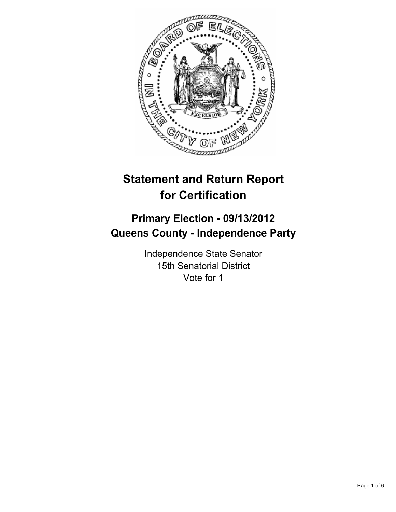

# **Statement and Return Report for Certification**

# **Primary Election - 09/13/2012 Queens County - Independence Party**

Independence State Senator 15th Senatorial District Vote for 1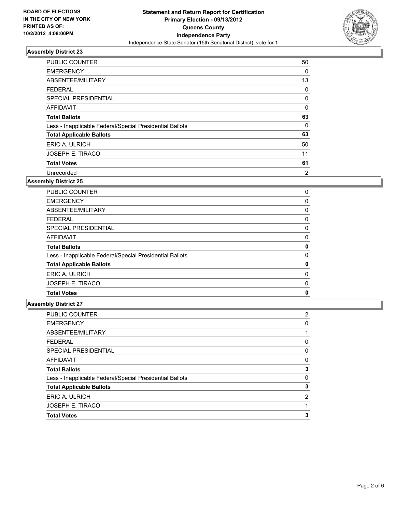

| <b>PUBLIC COUNTER</b>                                    | 50 |
|----------------------------------------------------------|----|
| <b>EMERGENCY</b>                                         | 0  |
| ABSENTEE/MILITARY                                        | 13 |
| FEDERAL                                                  | 0  |
| <b>SPECIAL PRESIDENTIAL</b>                              | 0  |
| <b>AFFIDAVIT</b>                                         | 0  |
| <b>Total Ballots</b>                                     | 63 |
| Less - Inapplicable Federal/Special Presidential Ballots | 0  |
| <b>Total Applicable Ballots</b>                          | 63 |
| ERIC A. ULRICH                                           | 50 |
| <b>JOSEPH E. TIRACO</b>                                  | 11 |
| <b>Total Votes</b>                                       | 61 |
| Unrecorded                                               | 2  |

### **Assembly District 25**

| <b>PUBLIC COUNTER</b>                                    | 0 |
|----------------------------------------------------------|---|
| <b>EMERGENCY</b>                                         | 0 |
| ABSENTEE/MILITARY                                        | 0 |
| <b>FEDERAL</b>                                           | 0 |
| SPECIAL PRESIDENTIAL                                     | 0 |
| AFFIDAVIT                                                | 0 |
| <b>Total Ballots</b>                                     | 0 |
| Less - Inapplicable Federal/Special Presidential Ballots | 0 |
| <b>Total Applicable Ballots</b>                          | 0 |
| ERIC A. ULRICH                                           | 0 |
| <b>JOSEPH E. TIRACO</b>                                  | 0 |
| <b>Total Votes</b>                                       | 0 |
|                                                          |   |

| <b>PUBLIC COUNTER</b>                                    | 2 |
|----------------------------------------------------------|---|
| <b>EMERGENCY</b>                                         | 0 |
| ABSENTEE/MILITARY                                        |   |
| <b>FEDERAL</b>                                           | 0 |
| SPECIAL PRESIDENTIAL                                     | 0 |
| AFFIDAVIT                                                | 0 |
| <b>Total Ballots</b>                                     | 3 |
| Less - Inapplicable Federal/Special Presidential Ballots | 0 |
| <b>Total Applicable Ballots</b>                          | 3 |
| ERIC A. ULRICH                                           | 2 |
| <b>JOSEPH E. TIRACO</b>                                  |   |
| <b>Total Votes</b>                                       | 3 |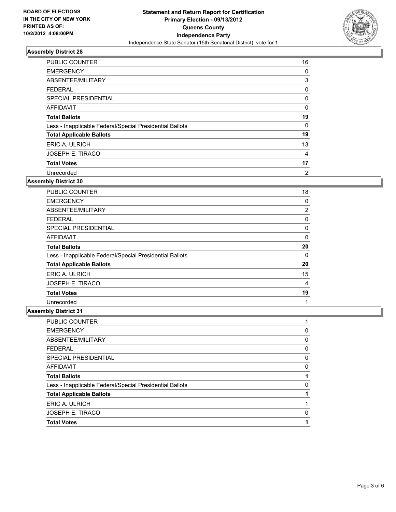

| <b>PUBLIC COUNTER</b>                                    | 16 |
|----------------------------------------------------------|----|
| <b>EMERGENCY</b>                                         | 0  |
| ABSENTEE/MILITARY                                        | 3  |
| <b>FEDERAL</b>                                           | 0  |
| <b>SPECIAL PRESIDENTIAL</b>                              | 0  |
| AFFIDAVIT                                                | 0  |
| <b>Total Ballots</b>                                     | 19 |
| Less - Inapplicable Federal/Special Presidential Ballots | 0  |
| <b>Total Applicable Ballots</b>                          | 19 |
| ERIC A. ULRICH                                           | 13 |
| JOSEPH E. TIRACO                                         | 4  |
| <b>Total Votes</b>                                       | 17 |
| Unrecorded                                               | 2  |

**Assembly District 30**

| <b>PUBLIC COUNTER</b>                                    | 18 |
|----------------------------------------------------------|----|
| <b>EMERGENCY</b>                                         | 0  |
| ABSENTEE/MILITARY                                        | 2  |
| FEDERAL                                                  | 0  |
| <b>SPECIAL PRESIDENTIAL</b>                              | 0  |
| <b>AFFIDAVIT</b>                                         | 0  |
| <b>Total Ballots</b>                                     | 20 |
| Less - Inapplicable Federal/Special Presidential Ballots | 0  |
| <b>Total Applicable Ballots</b>                          | 20 |
| ERIC A. ULRICH                                           | 15 |
| JOSEPH E. TIRACO                                         | 4  |
| <b>Total Votes</b>                                       | 19 |
| Unrecorded                                               |    |

| <b>PUBLIC COUNTER</b>                                    |   |
|----------------------------------------------------------|---|
| <b>EMERGENCY</b>                                         | 0 |
| ABSENTEE/MILITARY                                        | 0 |
| <b>FEDERAL</b>                                           | 0 |
| SPECIAL PRESIDENTIAL                                     | 0 |
| <b>AFFIDAVIT</b>                                         | 0 |
| <b>Total Ballots</b>                                     |   |
| Less - Inapplicable Federal/Special Presidential Ballots | 0 |
| <b>Total Applicable Ballots</b>                          |   |
| ERIC A. ULRICH                                           |   |
| <b>JOSEPH E. TIRACO</b>                                  | 0 |
| <b>Total Votes</b>                                       |   |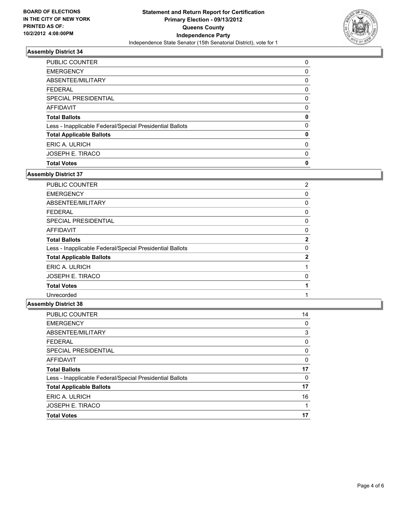

| <b>PUBLIC COUNTER</b>                                    | 0 |
|----------------------------------------------------------|---|
| <b>EMERGENCY</b>                                         | 0 |
| ABSENTEE/MILITARY                                        | 0 |
| <b>FEDERAL</b>                                           | 0 |
| SPECIAL PRESIDENTIAL                                     | 0 |
| AFFIDAVIT                                                | 0 |
| <b>Total Ballots</b>                                     | 0 |
| Less - Inapplicable Federal/Special Presidential Ballots | 0 |
| <b>Total Applicable Ballots</b>                          | 0 |
| ERIC A. ULRICH                                           | 0 |
| <b>JOSEPH E. TIRACO</b>                                  | 0 |
| <b>Total Votes</b>                                       | 0 |

### **Assembly District 37**

| <b>PUBLIC COUNTER</b>                                    | 2            |
|----------------------------------------------------------|--------------|
| <b>EMERGENCY</b>                                         | 0            |
| ABSENTEE/MILITARY                                        | 0            |
| <b>FEDERAL</b>                                           | 0            |
| SPECIAL PRESIDENTIAL                                     | 0            |
| AFFIDAVIT                                                | 0            |
| <b>Total Ballots</b>                                     | $\mathbf{2}$ |
| Less - Inapplicable Federal/Special Presidential Ballots | 0            |
| <b>Total Applicable Ballots</b>                          | $\mathbf{2}$ |
| ERIC A. ULRICH                                           |              |
| <b>JOSEPH E. TIRACO</b>                                  | 0            |
| <b>Total Votes</b>                                       |              |
| Unrecorded                                               |              |
|                                                          |              |

| <b>PUBLIC COUNTER</b>                                    | 14 |
|----------------------------------------------------------|----|
| <b>EMERGENCY</b>                                         | 0  |
| ABSENTEE/MILITARY                                        | 3  |
| <b>FEDERAL</b>                                           | 0  |
| SPECIAL PRESIDENTIAL                                     | 0  |
| AFFIDAVIT                                                | 0  |
| <b>Total Ballots</b>                                     | 17 |
| Less - Inapplicable Federal/Special Presidential Ballots | 0  |
| <b>Total Applicable Ballots</b>                          | 17 |
| ERIC A. ULRICH                                           | 16 |
| <b>JOSEPH E. TIRACO</b>                                  |    |
| <b>Total Votes</b>                                       | 17 |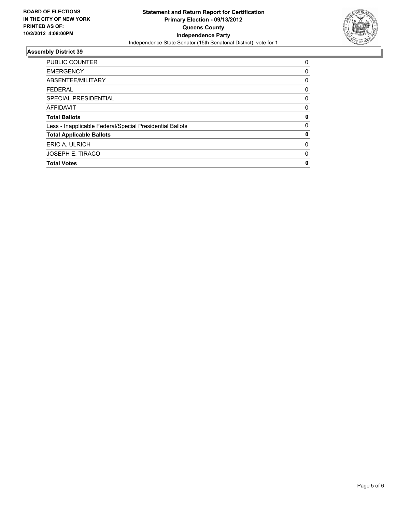

| <b>PUBLIC COUNTER</b>                                    | 0        |
|----------------------------------------------------------|----------|
| <b>EMERGENCY</b>                                         | 0        |
| ABSENTEE/MILITARY                                        | 0        |
| <b>FEDERAL</b>                                           | 0        |
| SPECIAL PRESIDENTIAL                                     | 0        |
| <b>AFFIDAVIT</b>                                         | 0        |
| <b>Total Ballots</b>                                     | 0        |
| Less - Inapplicable Federal/Special Presidential Ballots | $\Omega$ |
| <b>Total Applicable Ballots</b>                          | 0        |
| ERIC A. ULRICH                                           | 0        |
| <b>JOSEPH E. TIRACO</b>                                  | 0        |
| <b>Total Votes</b>                                       | 0        |